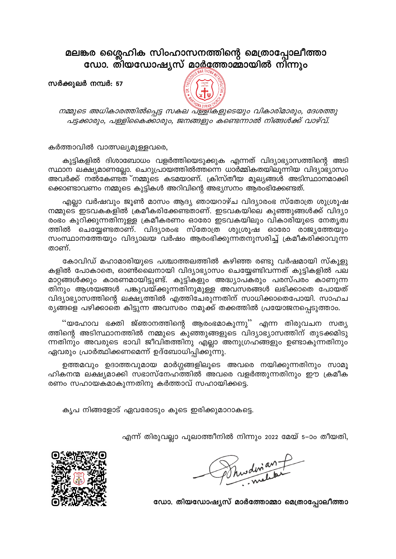## മലങ്കര ശ്ലൈഹിക സിംഹാസനത്തിന്റെ മെത്രാപ്പോലീത്താ<br>ഡോ. തിയഡോഷ്യസ് മാ<u>ർ</u>ത്തോമ്മായിൽ നിന്നും

സർക്കുലർ നമ്പർ: 57



നമ്മുടെ അധികാരത്തിൽപ്പെട്ട സകല പള്ളികളുടെയും വികാരിമാരും, ദേശത്തു പട്ടക്കാരും, പള്ളികൈക്കാരും, ജനങ്ങളും കണ്ടെന്നാൽ നിങ്ങൾക്ക് വാഴ്വ്.

കർത്താവിൽ വാത്സല്യമുള്ളവരെ,

കുട്ടികളിൽ ദിശാബോധം വളർത്തിയെടുക്കുക എന്നത് വിദ്യാഭ്യാസത്തിന്റെ അടി സ്ഥാന ലക്ഷ്യമാണല്ലോ. ചെറുപ്രായത്തിൽത്തന്നെ ധാർമ്മികതയിലൂന്നിയ വിദ്യാഭ്യാസം അവർക്ക് നൽകേണ്ടത നമ്മുടെ കടമയാണ്. ക്രിസ്തീയ മൂല്യങ്ങൾ അടിസ്ഥാനമാക്കി ക്കൊണ്ടാവണം നമ്മുടെ കുട്ടികൾ അറിവിന്റെ അഭ്യസനം ആരംഭിക്കേണ്ടത്.

എല്ലാ വർഷവും ജൂൺ മാസം ആദ്യ ഞായറാഴ്ച വിദ്യാരംഭ സ്തോത്ര ശുശ്രൂഷ നമ്മുടെ ഇടവകകളിൽ ക്രമീകരിക്കേണ്ടതാണ്. ഇടവകയിലെ കുഞ്ഞുങ്ങൾക്ക് വിദ്യാ രംഭം കുറിക്കുന്നതിനുള്ള ക്രമീകരണം ഓരോ ഇടവകയിലും വികാരിയുടെ നേതൃത്വ ത്തിൽ ചെയ്യേണ്ടതാണ്. വിദ്യാരംഭ സ്തോത്ര ശുശ്രൂഷ ഓരോ രാജ്യത്തേയും സംസ്ഥാനത്തേയും വിദ്യാലയ വർഷം ആരംഭിക്കുന്നതനുസരിച്ച് ക്രമീകരിക്കാവുന്ന താണ്.

കോവിഡ് മഹാമാരിയുടെ പശ്ചാത്തലത്തിൽ കഴിഞ്ഞ രണ്ടു വർഷമായി സ്കൂളു കളിൽ പോകാതെ, ഓൺലൈനായി വിദ്യാഭ്യാസം ചെയ്യേണ്ടിവന്നത് കുട്ടികളിൽ പല മാറ്റങ്ങൾക്കും കാരണമായിട്ടുണ്ട്. കുട്ടികളും അദ്ധ്യാപകരും പരസ്പരം കാണുന്ന തിനും ആശയങ്ങൾ പങ്കുവയ്ക്കുന്നതിനുമുള്ള അവസരങ്ങൾ ലഭിക്കാതെ പോയത് വിദ്യാഭ്യാസത്തിന്റെ ലക്ഷ്യത്തിൽ എത്തിചേരുന്നതിന് സാധിക്കാതെപോയി. സാഹച ര്യങ്ങളെ പഴിക്കാതെ കിട്ടുന്ന അവസരം നമുക്ക് തക്കത്തിൽ പ്രയോജനപ്പെടുത്താം.

''യഹോവ ഭക്തി ജ്ഞാനത്തിന്റെ ആരംഭമാകുന്നു'' എന്ന തിരുവചന സത്യ ത്തിന്റെ അടിസ്ഥാനത്തിൽ നമ്മുടെ കുഞ്ഞുങ്ങളുടെ വിദ്യാഭ്യാസത്തിന് തുടക്കമിടു ന്നതിനും അവരുടെ ഭാവി ജീവിതത്തിനു എല്ലാ അനുഗ്രഹങ്ങളും ഉണ്ടാകുന്നതിനും ഏവരും പ്രാർത്ഥിക്കണമെന്ന് ഉദ്ബോധിപ്പിക്കുന്നു.

ഉത്തമവും ഉദാത്തവുമായ മാർഗ്ഗങ്ങളിലൂടെ അവരെ നയിക്കുന്നതിനും സാമൂ ഹികനന്മ ലക്ഷ്യമാക്കി സഭാസ്നേഹത്തിൽ അവരെ വളർത്തുന്നതിനും ഈ ക്രമീക രണം സഹായകമാകുന്നതിനു കർത്താവ് സഹായിക്കട്ടെ.

കൃപ നിങ്ങളോട് ഏവരോടും കൂടെ ഇരിക്കുമാറാകട്ടെ.

എന്ന് തിരുവല്ലാ പൂലാത്തീനിൽ നിന്നും 2022 മേയ് 5–ാം തീയതി,

Phuderian +